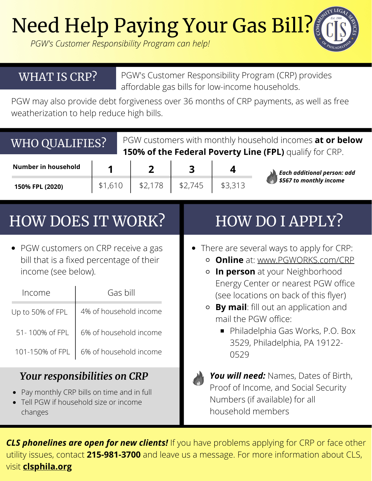**Need Help Paying Your Gas Bill?** 

*PGW's Customer Responsibility Program can help!*

## WHAT IS CRP?

PGW's Customer Responsibility Program (CRP) provides affordable gas bills for low-income households.

PGW may also provide debt forgiveness over 36 months of CRP payments, as well as free weatherization to help reduce high bills.

| WHO QUALIFIES?             |         | PGW customers with monthly household incomes at or below<br>150% of the Federal Poverty Line (FPL) qualify for CRP. |         |         |                                                               |  |  |
|----------------------------|---------|---------------------------------------------------------------------------------------------------------------------|---------|---------|---------------------------------------------------------------|--|--|
| <b>Number in household</b> |         |                                                                                                                     |         | 4       | <b>Each additional person: add</b><br>\$567 to monthly income |  |  |
| 150% FPL (2020)            | \$1,610 | \$2,178                                                                                                             | \$2,745 | \$3,313 |                                                               |  |  |
| <b>HOW DOES IT WORK?</b>   |         |                                                                                                                     |         |         | <b>HOW DO I APPLY?</b>                                        |  |  |

• PGW customers on CRP receive a gas bill that is a fixed percentage of their income (see below).

| Income           | Gas bill               |  |  |  |
|------------------|------------------------|--|--|--|
| Up to 50% of FPL | 4% of household income |  |  |  |
| 51 - 100% of FPL | 6% of household income |  |  |  |
| 101-150% of FPL  | 6% of household income |  |  |  |

## *Your responsibilities on CRP*

- Pay monthly CRP bills on time and in full
- Tell PGW if household size or income changes
- There are several ways to apply for CRP:
	- **Online** at: www.PGWORKS.com/CRP
	- **In person** at your Neighborhood Energy Center or nearest PGW office (see locations on back of this flyer)
	- **By mail**: fill out an application and mail the PGW office:
		- Philadelphia Gas Works, P.O. Box 3529, Philadelphia, PA 19122- 0529



*You will need:* Names, Dates of Birth, Proof of Income, and Social Security Numbers (if available) for all household members

*CLS phonelines are open for new clients!* If you have problems applying for CRP or face other utility issues, contact **215-981-3700** and leave us a message. For more information about CLS, visit **clsphila.org**